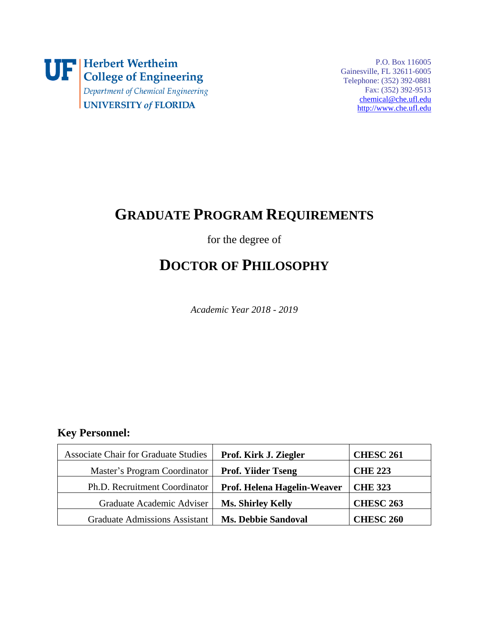

P.O. Box 116005 Gainesville, FL 32611-6005 Telephone: (352) 392-0881 Fax: (352) 392-9513 [chemical@che.ufl.edu](mailto:chemical@che.ufl.edu) [http://www.che.ufl.edu](http://www.che.ufl.edu/)

## **GRADUATE PROGRAM REQUIREMENTS**

for the degree of

# **DOCTOR OF PHILOSOPHY**

*Academic Year 2018 - 2019*

## **Key Personnel:**

<span id="page-0-3"></span><span id="page-0-2"></span><span id="page-0-1"></span><span id="page-0-0"></span>

| <b>Associate Chair for Graduate Studies</b> | Prof. Kirk J. Ziegler       | <b>CHESC 261</b> |
|---------------------------------------------|-----------------------------|------------------|
| Master's Program Coordinator                | <b>Prof. Yiider Tseng</b>   | <b>CHE 223</b>   |
| Ph.D. Recruitment Coordinator               | Prof. Helena Hagelin-Weaver | <b>CHE 323</b>   |
| Graduate Academic Adviser                   | <b>Ms. Shirley Kelly</b>    | <b>CHESC 263</b> |
| <b>Graduate Admissions Assistant</b>        | <b>Ms. Debbie Sandoval</b>  | <b>CHESC 260</b> |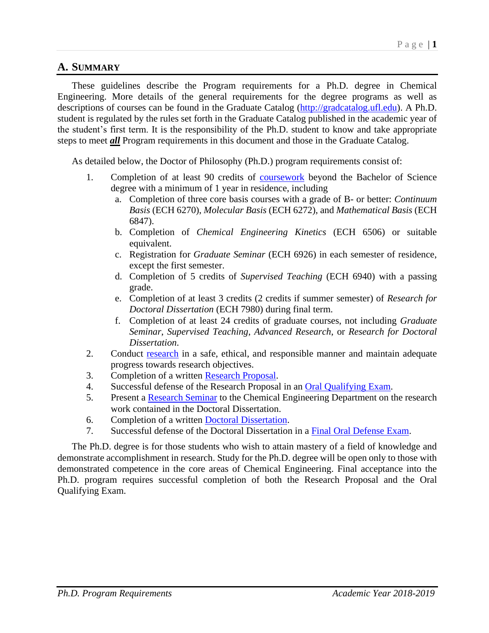## **A. SUMMARY**

These guidelines describe the Program requirements for a Ph.D. degree in Chemical Engineering. More details of the general requirements for the degree programs as well as descriptions of courses can be found in the Graduate Catalog [\(http://gradcatalog.ufl.edu\)](http://gradcatalog.ufl.edu/). A Ph.D. student is regulated by the rules set forth in the Graduate Catalog published in the academic year of the student's first term. It is the responsibility of the Ph.D. student to know and take appropriate steps to meet *all* Program requirements in this document and those in the Graduate Catalog.

As detailed below, the Doctor of Philosophy (Ph.D.) program requirements consist of:

- 1. Completion of at least 90 credits of [coursework](#page-5-0) beyond the Bachelor of Science degree with a minimum of 1 year in residence, including
	- a. Completion of three core basis courses with a grade of B- or better: *Continuum Basis* (ECH 6270), *Molecular Basis* (ECH 6272), and *Mathematical Basis* (ECH 6847).
	- b. Completion of *Chemical Engineering Kinetics* (ECH 6506) or suitable equivalent.
	- c. Registration for *Graduate Seminar* (ECH 6926) in each semester of residence, except the first semester.
	- d. Completion of 5 credits of *Supervised Teaching* (ECH 6940) with a passing grade.
	- e. Completion of at least 3 credits (2 credits if summer semester) of *Research for Doctoral Dissertation* (ECH 7980) during final term.
	- f. Completion of at least 24 credits of graduate courses, not including *Graduate Seminar*, *Supervised Teaching*, *Advanced Research*, or *Research for Doctoral Dissertation*.
- 2. Conduct [research](#page-6-0) in a safe, ethical, and responsible manner and maintain adequate progress towards research objectives.
- 3. Completion of a written [Research Proposal.](#page-7-0)
- 4. Successful defense of the Research Proposal in an [Oral Qualifying Exam.](#page-8-0)
- 5. Present a [Research Seminar](#page-10-0) to the Chemical Engineering Department on the research work contained in the Doctoral Dissertation.
- 6. Completion of a written [Doctoral Dissertation.](#page-10-1)
- 7. Successful defense of the Doctoral Dissertation in a [Final Oral Defense Exam.](#page-11-0)

The Ph.D. degree is for those students who wish to attain mastery of a field of knowledge and demonstrate accomplishment in research. Study for the Ph.D. degree will be open only to those with demonstrated competence in the core areas of Chemical Engineering. Final acceptance into the Ph.D. program requires successful completion of both the Research Proposal and the Oral Qualifying Exam.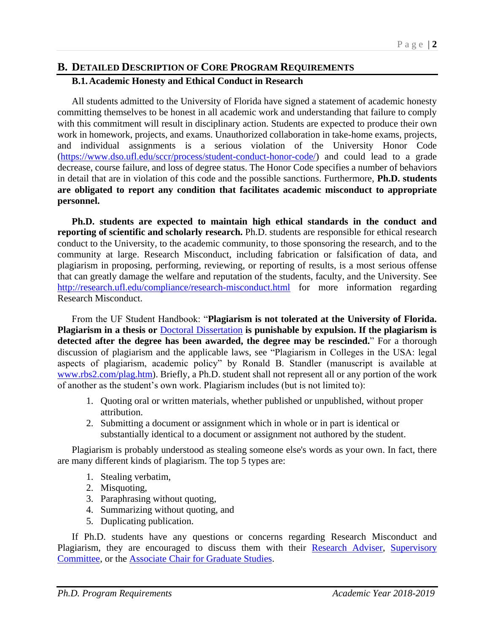### **B. DETAILED DESCRIPTION OF CORE PROGRAM REQUIREMENTS B.1.Academic Honesty and Ethical Conduct in Research**

All students admitted to the University of Florida have signed a statement of academic honesty committing themselves to be honest in all academic work and understanding that failure to comply with this commitment will result in disciplinary action. Students are expected to produce their own work in homework, projects, and exams. Unauthorized collaboration in take-home exams, projects, and individual assignments is a serious violation of the University Honor Code [\(https://www.dso.ufl.edu/sccr/process/student-conduct-honor-code/\)](https://www.dso.ufl.edu/sccr/process/student-conduct-honor-code/) and could lead to a grade decrease, course failure, and loss of degree status. The Honor Code specifies a number of behaviors in detail that are in violation of this code and the possible sanctions. Furthermore, **Ph.D. students are obligated to report any condition that facilitates academic misconduct to appropriate personnel.**

**Ph.D. students are expected to maintain high ethical standards in the conduct and reporting of scientific and scholarly research.** Ph.D. students are responsible for ethical research conduct to the University, to the academic community, to those sponsoring the research, and to the community at large. Research Misconduct, including fabrication or falsification of data, and plagiarism in proposing, performing, reviewing, or reporting of results, is a most serious offense that can greatly damage the welfare and reputation of the students, faculty, and the University. See <http://research.ufl.edu/compliance/research-misconduct.html> for more information regarding Research Misconduct.

From the UF Student Handbook: "**Plagiarism is not tolerated at the University of Florida. Plagiarism in a thesis or** [Doctoral Dissertation](#page-10-1) **is punishable by expulsion. If the plagiarism is detected after the degree has been awarded, the degree may be rescinded.**" For a thorough discussion of plagiarism and the applicable laws, see "Plagiarism in Colleges in the USA: legal aspects of plagiarism, academic policy" by Ronald B. Standler (manuscript is available at [www.rbs2.com/plag.htm\)](http://www.rbs2.com/plag.htm). Briefly, a Ph.D. student shall not represent all or any portion of the work of another as the student's own work. Plagiarism includes (but is not limited to):

- 1. Quoting oral or written materials, whether published or unpublished, without proper attribution.
- 2. Submitting a document or assignment which in whole or in part is identical or substantially identical to a document or assignment not authored by the student.

Plagiarism is probably understood as stealing someone else's words as your own. In fact, there are many different kinds of plagiarism. The top 5 types are:

- 1. Stealing verbatim,
- 2. Misquoting,
- 3. Paraphrasing without quoting,
- 4. Summarizing without quoting, and
- 5. Duplicating publication.

If Ph.D. students have any questions or concerns regarding Research Misconduct and Plagiarism, they are encouraged to discuss them with their [Research Adviser,](#page-6-1) [Supervisory](#page-6-2)  [Committee,](#page-6-2) or the [Associate Chair for Graduate Studies.](#page-0-0)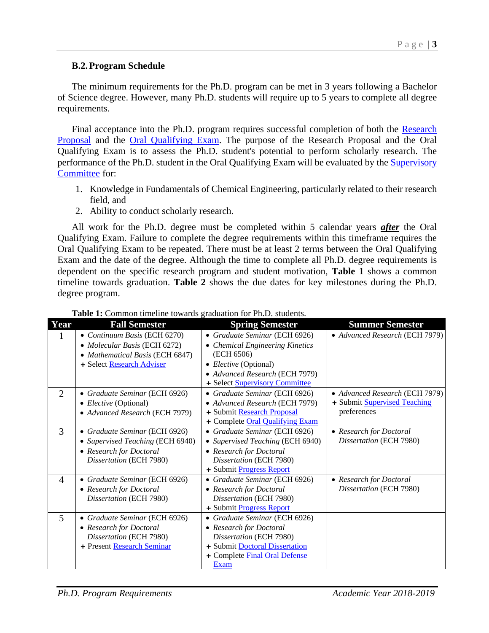#### **B.2.Program Schedule**

The minimum requirements for the Ph.D. program can be met in 3 years following a Bachelor of Science degree. However, many Ph.D. students will require up to 5 years to complete all degree requirements.

Final acceptance into the Ph.D. program requires successful completion of both the Research [Proposal](#page-7-0) and the [Oral Qualifying Exam.](#page-8-0) The purpose of the Research Proposal and the Oral Qualifying Exam is to assess the Ph.D. student's potential to perform scholarly research. The performance of the Ph.D. student in the Oral Qualifying Exam will be evaluated by the **Supervisory** [Committee](#page-6-2) for:

- 1. Knowledge in Fundamentals of Chemical Engineering, particularly related to their research field, and
- 2. Ability to conduct scholarly research.

All work for the Ph.D. degree must be completed within 5 calendar years *after* the Oral Qualifying Exam. Failure to complete the degree requirements within this timeframe requires the Oral Qualifying Exam to be repeated. There must be at least 2 terms between the Oral Qualifying Exam and the date of the degree. Although the time to complete all Ph.D. degree requirements is dependent on the specific research program and student motivation, **Table 1** shows a common timeline towards graduation. **Table 2** shows the due dates for key milestones during the Ph.D. degree program.

| Year           | <b>Fall Semester</b>                                                                                                         | <b>Spring Semester</b>                                                                                                                                                      | <b>Summer Semester</b>                                                        |
|----------------|------------------------------------------------------------------------------------------------------------------------------|-----------------------------------------------------------------------------------------------------------------------------------------------------------------------------|-------------------------------------------------------------------------------|
| $\mathbf{I}$   | • Continuum Basis (ECH 6270)<br>• Molecular Basis (ECH 6272)<br>• Mathematical Basis (ECH 6847)<br>+ Select Research Adviser | • Graduate Seminar (ECH 6926)<br>• Chemical Engineering Kinetics<br>(ECH 6506)<br>• Elective (Optional)<br>• Advanced Research (ECH 7979)<br>+ Select Supervisory Committee | • Advanced Research (ECH 7979)                                                |
| 2              | • Graduate Seminar (ECH 6926)<br>• Elective (Optional)<br>• Advanced Research (ECH 7979)                                     | • Graduate Seminar (ECH 6926)<br>• Advanced Research (ECH 7979)<br>+ Submit Research Proposal<br>+ Complete Oral Qualifying Exam                                            | • Advanced Research (ECH 7979)<br>+ Submit Supervised Teaching<br>preferences |
| 3              | • Graduate Seminar (ECH 6926)<br>• Supervised Teaching (ECH 6940)<br>• Research for Doctoral<br>Dissertation (ECH 7980)      | • Graduate Seminar (ECH 6926)<br>• Supervised Teaching (ECH 6940)<br>• Research for Doctoral<br>Dissertation (ECH 7980)<br>+ Submit Progress Report                         | • Research for Doctoral<br>Dissertation (ECH 7980)                            |
| $\overline{4}$ | • Graduate Seminar (ECH 6926)<br>• Research for Doctoral<br>Dissertation (ECH 7980)                                          | • Graduate Seminar (ECH 6926)<br>• Research for Doctoral<br>Dissertation (ECH 7980)<br>+ Submit Progress Report                                                             | • Research for Doctoral<br>Dissertation (ECH 7980)                            |
| 5              | • Graduate Seminar (ECH 6926)<br>• Research for Doctoral<br>Dissertation (ECH 7980)<br>+ Present Research Seminar            | • Graduate Seminar (ECH 6926)<br>• Research for Doctoral<br>Dissertation (ECH 7980)<br>+ Submit Doctoral Dissertation<br>+ Complete Final Oral Defense<br>Exam              |                                                                               |

#### **Table 1:** Common timeline towards graduation for Ph.D. students.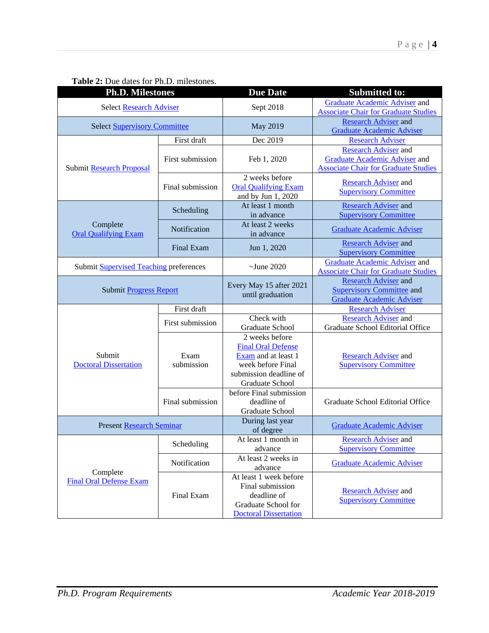| <b>Ph.D. Milestones</b>                       |                    | <b>Due Date</b>                                                                                                                      | <b>Submitted to:</b>                                                                                               |
|-----------------------------------------------|--------------------|--------------------------------------------------------------------------------------------------------------------------------------|--------------------------------------------------------------------------------------------------------------------|
| <b>Select Research Adviser</b>                |                    | Sept 2018                                                                                                                            | Graduate Academic Adviser and<br><b>Associate Chair for Graduate Studies</b>                                       |
| <b>Select Supervisory Committee</b>           |                    | May 2019                                                                                                                             | <b>Research Adviser and</b><br><b>Graduate Academic Adviser</b>                                                    |
|                                               | First draft        | Dec 2019                                                                                                                             | <b>Research Adviser</b>                                                                                            |
| <b>Submit Research Proposal</b>               | First submission   | Feb 1, 2020                                                                                                                          | <b>Research Adviser</b> and<br><b>Graduate Academic Adviser and</b><br><b>Associate Chair for Graduate Studies</b> |
|                                               | Final submission   | 2 weeks before<br><b>Oral Qualifying Exam</b><br>and by Jun 1, 2020                                                                  | <b>Research Adviser and</b><br><b>Supervisory Committee</b>                                                        |
|                                               | Scheduling         | At least 1 month<br>in advance                                                                                                       | <b>Research Adviser and</b><br><b>Supervisory Committee</b>                                                        |
| Complete<br><b>Oral Qualifying Exam</b>       | Notification       | At least 2 weeks<br>in advance                                                                                                       | Graduate Academic Adviser                                                                                          |
|                                               | Final Exam         | Jun 1, 2020                                                                                                                          | <b>Research Adviser and</b><br><b>Supervisory Committee</b>                                                        |
| Submit <b>Supervised Teaching</b> preferences |                    | $\sim$ June 2020                                                                                                                     | <b>Graduate Academic Adviser and</b><br><b>Associate Chair for Graduate Studies</b>                                |
| Submit Progress Report                        |                    | Every May 15 after 2021<br>until graduation                                                                                          | <b>Research Adviser and</b><br><b>Supervisory Committee and</b><br><b>Graduate Academic Adviser</b>                |
|                                               | First draft        |                                                                                                                                      | <b>Research Adviser</b>                                                                                            |
|                                               | First submission   | Check with<br>Graduate School                                                                                                        | <b>Research Adviser and</b><br>Graduate School Editorial Office                                                    |
| Submit<br><b>Doctoral Dissertation</b>        | Exam<br>submission | 2 weeks before<br><b>Final Oral Defense</b><br>Exam and at least 1<br>week before Final<br>submission deadline of<br>Graduate School | <b>Research Adviser and</b><br><b>Supervisory Committee</b>                                                        |
|                                               | Final submission   | before Final submission<br>deadline of<br>Graduate School                                                                            | Graduate School Editorial Office                                                                                   |
| <b>Present Research Seminar</b>               |                    | During last year<br>of degree                                                                                                        | <b>Graduate Academic Adviser</b>                                                                                   |
|                                               | Scheduling         | At least 1 month in<br>advance                                                                                                       | <b>Research Adviser and</b><br><b>Supervisory Committee</b>                                                        |
|                                               | Notification       | At least 2 weeks in<br>advance                                                                                                       | <b>Graduate Academic Adviser</b>                                                                                   |
| Complete<br><b>Final Oral Defense Exam</b>    | Final Exam         | At least 1 week before<br>Final submission<br>deadline of<br>Graduate School for<br><b>Doctoral Dissertation</b>                     | <b>Research Adviser</b> and<br><b>Supervisory Committee</b>                                                        |

### <span id="page-4-0"></span>**Table 2:** Due dates for Ph.D. milestones.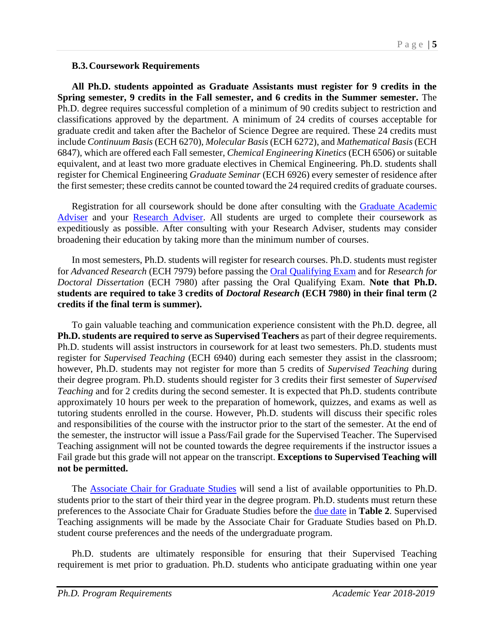#### <span id="page-5-0"></span>**B.3.Coursework Requirements**

**All Ph.D. students appointed as Graduate Assistants must register for 9 credits in the Spring semester, 9 credits in the Fall semester, and 6 credits in the Summer semester.** The Ph.D. degree requires successful completion of a minimum of 90 credits subject to restriction and classifications approved by the department. A minimum of 24 credits of courses acceptable for graduate credit and taken after the Bachelor of Science Degree are required. These 24 credits must include *Continuum Basis* (ECH 6270), *Molecular Basis* (ECH 6272), and *Mathematical Basis* (ECH 6847), which are offered each Fall semester, *Chemical Engineering Kinetics* (ECH 6506) or suitable equivalent, and at least two more graduate electives in Chemical Engineering. Ph.D. students shall register for Chemical Engineering *Graduate Seminar* (ECH 6926) every semester of residence after the first semester; these credits cannot be counted toward the 24 required credits of graduate courses.

Registration for all coursework should be done after consulting with the Graduate Academic [Adviser](#page-0-1) and your [Research Adviser.](#page-6-1) All students are urged to complete their coursework as expeditiously as possible. After consulting with your Research Adviser, students may consider broadening their education by taking more than the minimum number of courses.

In most semesters, Ph.D. students will register for research courses. Ph.D. students must register for *Advanced Research* (ECH 7979) before passing the [Oral Qualifying Exam](#page-8-0) and for *Research for Doctoral Dissertation* (ECH 7980) after passing the Oral Qualifying Exam. **Note that Ph.D. students are required to take 3 credits of** *Doctoral Research* **(ECH 7980) in their final term (2 credits if the final term is summer).**

<span id="page-5-1"></span>To gain valuable teaching and communication experience consistent with the Ph.D. degree, all **Ph.D. students are required to serve as Supervised Teachers** as part of their degree requirements. Ph.D. students will assist instructors in coursework for at least two semesters. Ph.D. students must register for *Supervised Teaching* (ECH 6940) during each semester they assist in the classroom; however, Ph.D. students may not register for more than 5 credits of *Supervised Teaching* during their degree program. Ph.D. students should register for 3 credits their first semester of *Supervised Teaching* and for 2 credits during the second semester. It is expected that Ph.D. students contribute approximately 10 hours per week to the preparation of homework, quizzes, and exams as well as tutoring students enrolled in the course. However, Ph.D. students will discuss their specific roles and responsibilities of the course with the instructor prior to the start of the semester. At the end of the semester, the instructor will issue a Pass/Fail grade for the Supervised Teacher. The Supervised Teaching assignment will not be counted towards the degree requirements if the instructor issues a Fail grade but this grade will not appear on the transcript. **Exceptions to Supervised Teaching will not be permitted.** 

The **Associate Chair for Graduate Studies** will send a list of available opportunities to Ph.D. students prior to the start of their third year in the degree program. Ph.D. students must return these preferences to the Associate Chair for Graduate Studies before the [due date](#page-4-0) in **Table 2**. Supervised Teaching assignments will be made by the Associate Chair for Graduate Studies based on Ph.D. student course preferences and the needs of the undergraduate program.

Ph.D. students are ultimately responsible for ensuring that their Supervised Teaching requirement is met prior to graduation. Ph.D. students who anticipate graduating within one year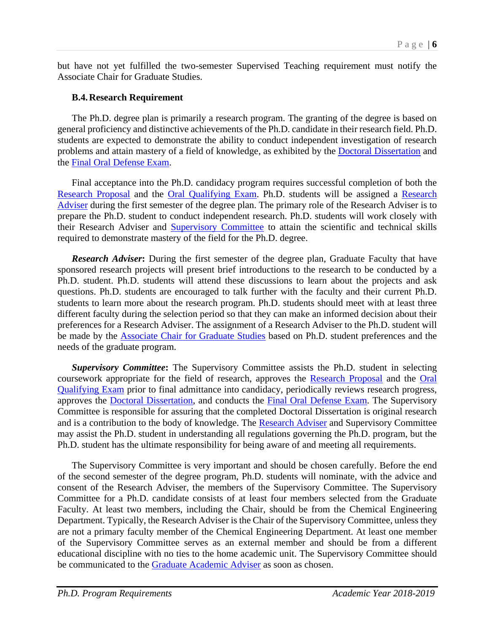but have not yet fulfilled the two-semester Supervised Teaching requirement must notify the Associate Chair for Graduate Studies.

#### <span id="page-6-0"></span>**B.4.Research Requirement**

The Ph.D. degree plan is primarily a research program. The granting of the degree is based on general proficiency and distinctive achievements of the Ph.D. candidate in their research field. Ph.D. students are expected to demonstrate the ability to conduct independent investigation of research problems and attain mastery of a field of knowledge, as exhibited by the [Doctoral Dissertation](#page-10-1) and the [Final Oral Defense Exam.](#page-11-0)

Final acceptance into the Ph.D. candidacy program requires successful completion of both the [Research Proposal](#page-7-0) and the [Oral Qualifying Exam.](#page-8-0) Ph.D. students will be assigned a [Research](#page-6-1)  [Adviser](#page-6-1) during the first semester of the degree plan. The primary role of the Research Adviser is to prepare the Ph.D. student to conduct independent research. Ph.D. students will work closely with their Research Adviser and **[Supervisory Committee](#page-6-2)** to attain the scientific and technical skills required to demonstrate mastery of the field for the Ph.D. degree.

<span id="page-6-1"></span>*Research Adviser***:** During the first semester of the degree plan, Graduate Faculty that have sponsored research projects will present brief introductions to the research to be conducted by a Ph.D. student. Ph.D. students will attend these discussions to learn about the projects and ask questions. Ph.D. students are encouraged to talk further with the faculty and their current Ph.D. students to learn more about the research program. Ph.D. students should meet with at least three different faculty during the selection period so that they can make an informed decision about their preferences for a Research Adviser. The assignment of a Research Adviser to the Ph.D. student will be made by the [Associate Chair for](#page-0-0) Graduate Studies based on Ph.D. student preferences and the needs of the graduate program.

<span id="page-6-2"></span>*Supervisory Committee***:** The Supervisory Committee assists the Ph.D. student in selecting coursework appropriate for the field of research, approves the [Research Proposal](#page-7-0) and the [Oral](#page-8-0)  [Qualifying Exam](#page-8-0) prior to final admittance into candidacy, periodically reviews research progress, approves the [Doctoral Dissertation,](#page-10-1) and conducts the [Final Oral Defense Exam.](#page-11-0) The Supervisory Committee is responsible for assuring that the completed Doctoral Dissertation is original research and is a contribution to the body of knowledge. The [Research Adviser](#page-6-1) and Supervisory Committee may assist the Ph.D. student in understanding all regulations governing the Ph.D. program, but the Ph.D. student has the ultimate responsibility for being aware of and meeting all requirements.

The Supervisory Committee is very important and should be chosen carefully. Before the end of the second semester of the degree program, Ph.D. students will nominate, with the advice and consent of the Research Adviser, the members of the Supervisory Committee. The Supervisory Committee for a Ph.D. candidate consists of at least four members selected from the Graduate Faculty. At least two members, including the Chair, should be from the Chemical Engineering Department. Typically, the Research Adviser is the Chair of the Supervisory Committee, unless they are not a primary faculty member of the Chemical Engineering Department. At least one member of the Supervisory Committee serves as an external member and should be from a different educational discipline with no ties to the home academic unit. The Supervisory Committee should be communicated to the [Graduate Academic Adviser](#page-0-1) as soon as chosen.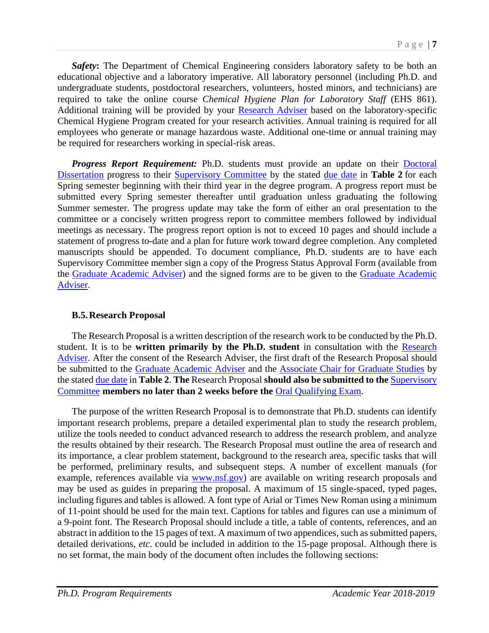*Safety***:** The Department of Chemical Engineering considers laboratory safety to be both an educational objective and a laboratory imperative. All laboratory personnel (including Ph.D. and undergraduate students, postdoctoral researchers, volunteers, hosted minors, and technicians) are required to take the online course *Chemical Hygiene Plan for Laboratory Staff* (EHS 861). Additional training will be provided by your [Research Adviser](#page-6-1) based on the laboratory-specific Chemical Hygiene Program created for your research activities. Annual training is required for all employees who generate or manage hazardous waste. Additional one-time or annual training may be required for researchers working in special-risk areas.

<span id="page-7-1"></span>*Progress Report Requirement:* Ph.D. students must provide an update on their [Doctoral](#page-10-1)  [Dissertation](#page-10-1) progress to their [Supervisory Committee](#page-6-2) by the stated [due date](#page-4-0) in **Table 2** for each Spring semester beginning with their third year in the degree program. A progress report must be submitted every Spring semester thereafter until graduation unless graduating the following Summer semester. The progress update may take the form of either an oral presentation to the committee or a concisely written progress report to committee members followed by individual meetings as necessary. The progress report option is not to exceed 10 pages and should include a statement of progress to-date and a plan for future work toward degree completion. Any completed manuscripts should be appended. To document compliance, Ph.D. students are to have each Supervisory Committee member sign a copy of the Progress Status Approval Form (available from the [Graduate Academic Adviser\)](#page-0-1) and the signed forms are to be given to the [Graduate Academic](#page-0-1)  [Adviser.](#page-0-1)

#### <span id="page-7-0"></span>**B.5.Research Proposal**

The Research Proposal is a written description of the research work to be conducted by the Ph.D. student. It is to be **written primarily by the Ph.D. student** in consultation with the [Research](#page-6-1)  [Adviser.](#page-6-1) After the consent of the Research Adviser, the first draft of the Research Proposal should be submitted to the [Graduate Academic Adviser](#page-0-1) and the [Associate Chair for Graduate Studies](#page-0-0) by the state[d due date](#page-4-0) in **Table 2**. **The** Research Proposal **should also be submitted to the** [Supervisory](#page-6-2)  [Committee](#page-6-2) **members no later than 2 weeks before the** [Oral Qualifying Exam.](#page-8-0)

The purpose of the written Research Proposal is to demonstrate that Ph.D. students can identify important research problems, prepare a detailed experimental plan to study the research problem, utilize the tools needed to conduct advanced research to address the research problem, and analyze the results obtained by their research. The Research Proposal must outline the area of research and its importance, a clear problem statement, background to the research area, specific tasks that will be performed, preliminary results, and subsequent steps. A number of excellent manuals (for example, references available via [www.nsf.gov\)](http://www.nsf.gov/) are available on writing research proposals and may be used as guides in preparing the proposal. A maximum of 15 single-spaced, typed pages, including figures and tables is allowed. A font type of Arial or Times New Roman using a minimum of 11-point should be used for the main text. Captions for tables and figures can use a minimum of a 9-point font. The Research Proposal should include a title, a table of contents, references, and an abstract in addition to the 15 pages of text. A maximum of two appendices, such as submitted papers, detailed derivations, *etc*. could be included in addition to the 15-page proposal. Although there is no set format, the main body of the document often includes the following sections: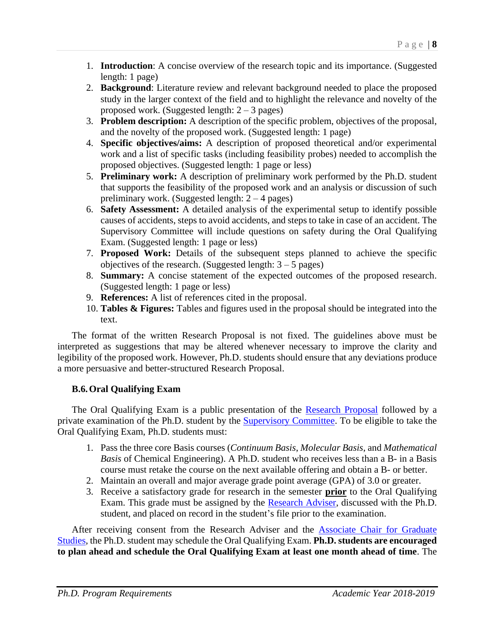- 1. **Introduction**: A concise overview of the research topic and its importance. (Suggested length: 1 page)
- 2. **Background**: Literature review and relevant background needed to place the proposed study in the larger context of the field and to highlight the relevance and novelty of the proposed work. (Suggested length:  $2 - 3$  pages)
- 3. **Problem description:** A description of the specific problem, objectives of the proposal, and the novelty of the proposed work. (Suggested length: 1 page)
- 4. **Specific objectives/aims:** A description of proposed theoretical and/or experimental work and a list of specific tasks (including feasibility probes) needed to accomplish the proposed objectives. (Suggested length: 1 page or less)
- 5. **Preliminary work:** A description of preliminary work performed by the Ph.D. student that supports the feasibility of the proposed work and an analysis or discussion of such preliminary work. (Suggested length:  $2 - 4$  pages)
- 6. **Safety Assessment:** A detailed analysis of the experimental setup to identify possible causes of accidents, steps to avoid accidents, and steps to take in case of an accident. The Supervisory Committee will include questions on safety during the Oral Qualifying Exam. (Suggested length: 1 page or less)
- 7. **Proposed Work:** Details of the subsequent steps planned to achieve the specific objectives of the research. (Suggested length:  $3 - 5$  pages)
- 8. **Summary:** A concise statement of the expected outcomes of the proposed research. (Suggested length: 1 page or less)
- 9. **References:** A list of references cited in the proposal.
- 10. **Tables & Figures:** Tables and figures used in the proposal should be integrated into the text.

The format of the written Research Proposal is not fixed. The guidelines above must be interpreted as suggestions that may be altered whenever necessary to improve the clarity and legibility of the proposed work. However, Ph.D. students should ensure that any deviations produce a more persuasive and better-structured Research Proposal.

#### <span id="page-8-0"></span>**B.6.Oral Qualifying Exam**

The Oral Qualifying Exam is a public presentation of the [Research Proposal](#page-7-0) followed by a private examination of the Ph.D. student by the [Supervisory Committee.](#page-6-2) To be eligible to take the Oral Qualifying Exam, Ph.D. students must:

- 1. Pass the three core Basis courses (*Continuum Basis*, *Molecular Basis*, and *Mathematical Basis* of Chemical Engineering). A Ph.D. student who receives less than a B- in a Basis course must retake the course on the next available offering and obtain a B- or better.
- 2. Maintain an overall and major average grade point average (GPA) of 3.0 or greater.
- 3. Receive a satisfactory grade for research in the semester **prior** to the Oral Qualifying Exam. This grade must be assigned by the [Research Adviser,](#page-6-1) discussed with the Ph.D. student, and placed on record in the student's file prior to the examination.

After receiving consent from the Research Adviser and the **Associate Chair for Graduate** [Studies,](#page-0-0) the Ph.D. student may schedule the Oral Qualifying Exam. **Ph.D. students are encouraged to plan ahead and schedule the Oral Qualifying Exam at least one month ahead of time**. The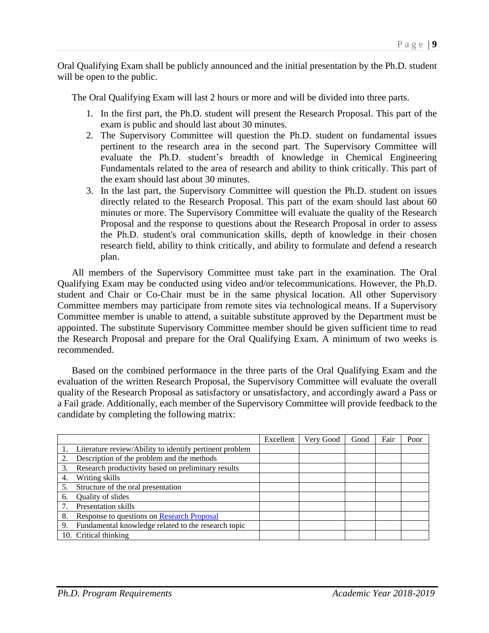Oral Qualifying Exam shall be publicly announced and the initial presentation by the Ph.D. student will be open to the public.

The Oral Qualifying Exam will last 2 hours or more and will be divided into three parts.

- 1. In the first part, the Ph.D. student will present the Research Proposal. This part of the exam is public and should last about 30 minutes.
- 2. The Supervisory Committee will question the Ph.D. student on fundamental issues pertinent to the research area in the second part. The Supervisory Committee will evaluate the Ph.D. student's breadth of knowledge in Chemical Engineering Fundamentals related to the area of research and ability to think critically. This part of the exam should last about 30 minutes.
- 3. In the last part, the Supervisory Committee will question the Ph.D. student on issues directly related to the Research Proposal. This part of the exam should last about 60 minutes or more. The Supervisory Committee will evaluate the quality of the Research Proposal and the response to questions about the Research Proposal in order to assess the Ph.D. student's oral communication skills, depth of knowledge in their chosen research field, ability to think critically, and ability to formulate and defend a research plan.

All members of the Supervisory Committee must take part in the examination. The Oral Qualifying Exam may be conducted using video and/or telecommunications. However, the Ph.D. student and Chair or Co-Chair must be in the same physical location. All other Supervisory Committee members may participate from remote sites via technological means. If a Supervisory Committee member is unable to attend, a suitable substitute approved by the Department must be appointed. The substitute Supervisory Committee member should be given sufficient time to read the Research Proposal and prepare for the Oral Qualifying Exam. A minimum of two weeks is recommended.

Based on the combined performance in the three parts of the Oral Qualifying Exam and the evaluation of the written Research Proposal, the Supervisory Committee will evaluate the overall quality of the Research Proposal as satisfactory or unsatisfactory, and accordingly award a Pass or a Fail grade. Additionally, each member of the Supervisory Committee will provide feedback to the candidate by completing the following matrix:

|    |                                                         | Excellent | Very Good | Good | Fair | Poor |
|----|---------------------------------------------------------|-----------|-----------|------|------|------|
|    | Literature review/Ability to identify pertinent problem |           |           |      |      |      |
|    | Description of the problem and the methods              |           |           |      |      |      |
| 3. | Research productivity based on preliminary results      |           |           |      |      |      |
| 4. | Writing skills                                          |           |           |      |      |      |
|    | Structure of the oral presentation                      |           |           |      |      |      |
| 6. | Quality of slides                                       |           |           |      |      |      |
|    | Presentation skills                                     |           |           |      |      |      |
| 8. | Response to questions on Research Proposal              |           |           |      |      |      |
| 9. | Fundamental knowledge related to the research topic     |           |           |      |      |      |
|    | 10. Critical thinking                                   |           |           |      |      |      |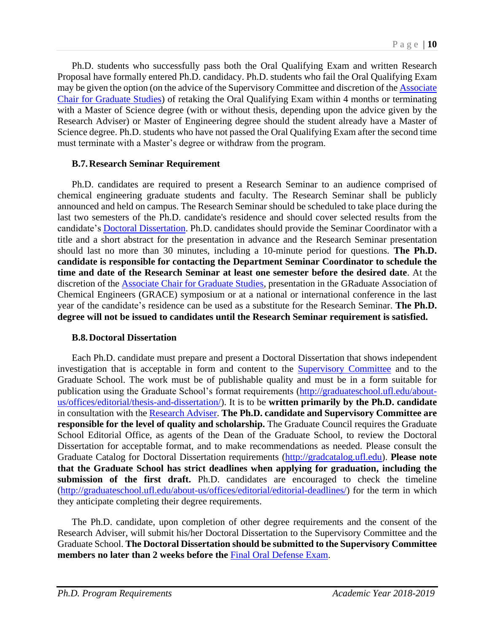Ph.D. students who successfully pass both the Oral Qualifying Exam and written Research Proposal have formally entered Ph.D. candidacy. Ph.D. students who fail the Oral Qualifying Exam may be given the option (on the advice of the Supervisory Committee and discretion of the **Associate** [Chair for Graduate Studies\)](#page-0-0) of retaking the Oral Qualifying Exam within 4 months or terminating with a Master of Science degree (with or without thesis, depending upon the advice given by the Research Adviser) or Master of Engineering degree should the student already have a Master of Science degree. Ph.D. students who have not passed the Oral Qualifying Exam after the second time must terminate with a Master's degree or withdraw from the program.

#### <span id="page-10-0"></span>**B.7.Research Seminar Requirement**

Ph.D. candidates are required to present a Research Seminar to an audience comprised of chemical engineering graduate students and faculty. The Research Seminar shall be publicly announced and held on campus. The Research Seminar should be scheduled to take place during the last two semesters of the Ph.D. candidate's residence and should cover selected results from the candidate's [Doctoral Dissertation.](#page-10-1) Ph.D. candidates should provide the Seminar Coordinator with a title and a short abstract for the presentation in advance and the Research Seminar presentation should last no more than 30 minutes, including a 10-minute period for questions. **The Ph.D. candidate is responsible for contacting the Department Seminar Coordinator to schedule the time and date of the Research Seminar at least one semester before the desired date**. At the discretion of the [Associate Chair for Graduate Studies,](#page-0-0) presentation in the GRaduate Association of Chemical Engineers (GRACE) symposium or at a national or international conference in the last year of the candidate's residence can be used as a substitute for the Research Seminar. **The Ph.D. degree will not be issued to candidates until the Research Seminar requirement is satisfied.** 

#### <span id="page-10-1"></span>**B.8.Doctoral Dissertation**

Each Ph.D. candidate must prepare and present a Doctoral Dissertation that shows independent investigation that is acceptable in form and content to the [Supervisory Committee](#page-6-2) and to the Graduate School. The work must be of publishable quality and must be in a form suitable for publication using the Graduate School's format requirements [\(http://graduateschool.ufl.edu/about](http://graduateschool.ufl.edu/about-us/offices/editorial/thesis-and-dissertation/)[us/offices/editorial/thesis-and-dissertation/\)](http://graduateschool.ufl.edu/about-us/offices/editorial/thesis-and-dissertation/). It is to be **written primarily by the Ph.D. candidate** in consultation with the [Research Adviser.](#page-6-1) **The Ph.D. candidate and Supervisory Committee are responsible for the level of quality and scholarship.** The Graduate Council requires the Graduate School Editorial Office, as agents of the Dean of the Graduate School, to review the Doctoral Dissertation for acceptable format, and to make recommendations as needed. Please consult the Graduate Catalog for Doctoral Dissertation requirements [\(http://gradcatalog.ufl.edu\)](http://gradcatalog.ufl.edu/). **Please note that the Graduate School has strict deadlines when applying for graduation, including the submission of the first draft.** Ph.D. candidates are encouraged to check the timeline [\(http://graduateschool.ufl.edu/about-us/offices/editorial/editorial-deadlines/\)](http://graduateschool.ufl.edu/about-us/offices/editorial/editorial-deadlines/) for the term in which they anticipate completing their degree requirements.

The Ph.D. candidate, upon completion of other degree requirements and the consent of the Research Adviser, will submit his/her Doctoral Dissertation to the Supervisory Committee and the Graduate School. **The Doctoral Dissertation should be submitted to the Supervisory Committee members no later than 2 weeks before the** [Final Oral Defense Exam.](#page-11-0)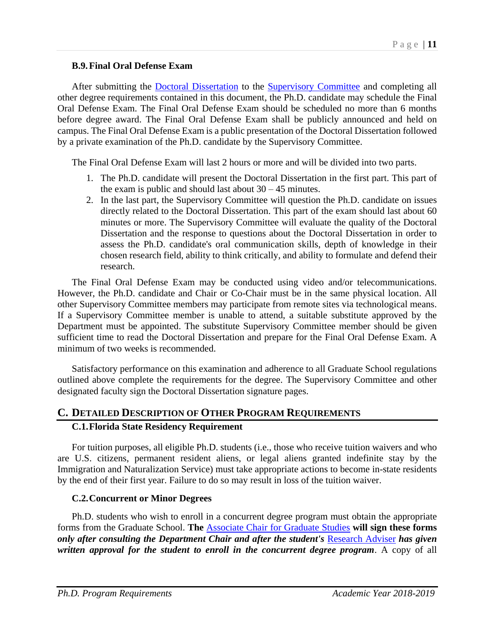#### <span id="page-11-0"></span>**B.9.Final Oral Defense Exam**

After submitting the **Doctoral Dissertation** to the **Supervisory Committee** and completing all other degree requirements contained in this document, the Ph.D. candidate may schedule the Final Oral Defense Exam. The Final Oral Defense Exam should be scheduled no more than 6 months before degree award. The Final Oral Defense Exam shall be publicly announced and held on campus. The Final Oral Defense Exam is a public presentation of the Doctoral Dissertation followed by a private examination of the Ph.D. candidate by the Supervisory Committee.

The Final Oral Defense Exam will last 2 hours or more and will be divided into two parts.

- 1. The Ph.D. candidate will present the Doctoral Dissertation in the first part. This part of the exam is public and should last about  $30 - 45$  minutes.
- 2. In the last part, the Supervisory Committee will question the Ph.D. candidate on issues directly related to the Doctoral Dissertation. This part of the exam should last about 60 minutes or more. The Supervisory Committee will evaluate the quality of the Doctoral Dissertation and the response to questions about the Doctoral Dissertation in order to assess the Ph.D. candidate's oral communication skills, depth of knowledge in their chosen research field, ability to think critically, and ability to formulate and defend their research.

The Final Oral Defense Exam may be conducted using video and/or telecommunications. However, the Ph.D. candidate and Chair or Co-Chair must be in the same physical location. All other Supervisory Committee members may participate from remote sites via technological means. If a Supervisory Committee member is unable to attend, a suitable substitute approved by the Department must be appointed. The substitute Supervisory Committee member should be given sufficient time to read the Doctoral Dissertation and prepare for the Final Oral Defense Exam. A minimum of two weeks is recommended.

Satisfactory performance on this examination and adherence to all Graduate School regulations outlined above complete the requirements for the degree. The Supervisory Committee and other designated faculty sign the Doctoral Dissertation signature pages.

#### **C. DETAILED DESCRIPTION OF OTHER PROGRAM REQUIREMENTS C.1.Florida State Residency Requirement**

For tuition purposes, all eligible Ph.D. students (i.e., those who receive tuition waivers and who are U.S. citizens, permanent resident aliens, or legal aliens granted indefinite stay by the Immigration and Naturalization Service) must take appropriate actions to become in-state residents by the end of their first year. Failure to do so may result in loss of the tuition waiver.

#### **C.2.Concurrent or Minor Degrees**

Ph.D. students who wish to enroll in a concurrent degree program must obtain the appropriate forms from the Graduate School. **The** [Associate Chair for Graduate Studies](#page-0-0) **will sign these forms**  *only after consulting the Department Chair and after the student's* [Research Adviser](#page-6-1) *has given written approval for the student to enroll in the concurrent degree program*. A copy of all